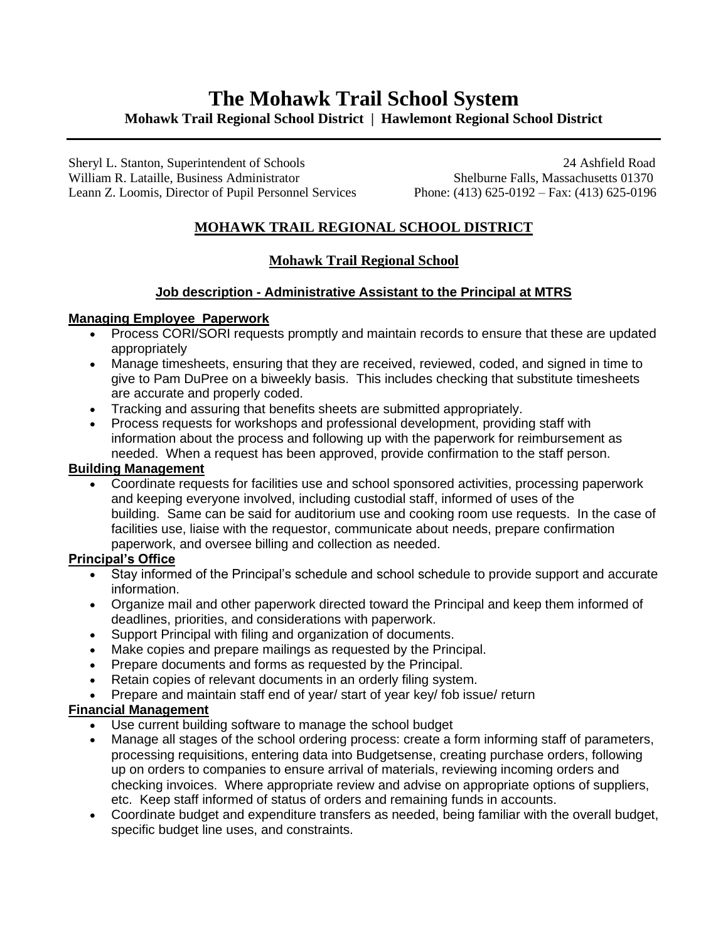# **The Mohawk Trail School System Mohawk Trail Regional School District | Hawlemont Regional School District**

Sheryl L. Stanton, Superintendent of Schools 24 Ashfield Road William R. Lataille, Business Administrator Shelburne Falls, Massachusetts 01370 Leann Z. Loomis, Director of Pupil Personnel Services Phone: (413) 625-0192 – Fax: (413) 625-0196

# **MOHAWK TRAIL REGIONAL SCHOOL DISTRICT**

## **Mohawk Trail Regional School**

#### **Job description - Administrative Assistant to the Principal at MTRS**

#### **Managing Employee Paperwork**

- Process CORI/SORI requests promptly and maintain records to ensure that these are updated appropriately
- Manage timesheets, ensuring that they are received, reviewed, coded, and signed in time to give to Pam DuPree on a biweekly basis. This includes checking that substitute timesheets are accurate and properly coded.
- Tracking and assuring that benefits sheets are submitted appropriately.
- Process requests for workshops and professional development, providing staff with information about the process and following up with the paperwork for reimbursement as needed. When a request has been approved, provide confirmation to the staff person.

#### **Building Management**

• Coordinate requests for facilities use and school sponsored activities, processing paperwork and keeping everyone involved, including custodial staff, informed of uses of the building. Same can be said for auditorium use and cooking room use requests. In the case of facilities use, liaise with the requestor, communicate about needs, prepare confirmation paperwork, and oversee billing and collection as needed.

## **Principal's Office**

- Stay informed of the Principal's schedule and school schedule to provide support and accurate information.
- Organize mail and other paperwork directed toward the Principal and keep them informed of deadlines, priorities, and considerations with paperwork.
- Support Principal with filing and organization of documents.
- Make copies and prepare mailings as requested by the Principal.
- Prepare documents and forms as requested by the Principal.
- Retain copies of relevant documents in an orderly filing system.
- Prepare and maintain staff end of year/ start of year key/ fob issue/ return

## **Financial Management**

- Use current building software to manage the school budget
- Manage all stages of the school ordering process: create a form informing staff of parameters, processing requisitions, entering data into Budgetsense, creating purchase orders, following up on orders to companies to ensure arrival of materials, reviewing incoming orders and checking invoices. Where appropriate review and advise on appropriate options of suppliers, etc. Keep staff informed of status of orders and remaining funds in accounts.
- Coordinate budget and expenditure transfers as needed, being familiar with the overall budget, specific budget line uses, and constraints.